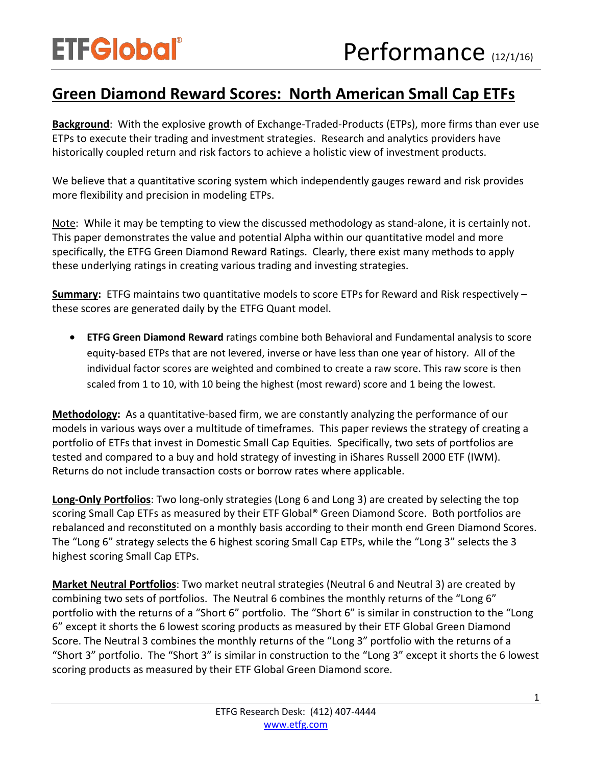## **Green Diamond Reward Scores: North American Small Cap ETFs**

**Background**: With the explosive growth of Exchange-Traded-Products (ETPs), more firms than ever use ETPs to execute their trading and investment strategies. Research and analytics providers have historically coupled return and risk factors to achieve a holistic view of investment products.

We believe that a quantitative scoring system which independently gauges reward and risk provides more flexibility and precision in modeling ETPs.

Note: While it may be tempting to view the discussed methodology as stand-alone, it is certainly not. This paper demonstrates the value and potential Alpha within our quantitative model and more specifically, the ETFG Green Diamond Reward Ratings. Clearly, there exist many methods to apply these underlying ratings in creating various trading and investing strategies.

**Summary:** ETFG maintains two quantitative models to score ETPs for Reward and Risk respectively – these scores are generated daily by the ETFG Quant model.

• **ETFG Green Diamond Reward** ratings combine both Behavioral and Fundamental analysis to score equity-based ETPs that are not levered, inverse or have less than one year of history. All of the individual factor scores are weighted and combined to create a raw score. This raw score is then scaled from 1 to 10, with 10 being the highest (most reward) score and 1 being the lowest.

**Methodology:** As a quantitative-based firm, we are constantly analyzing the performance of our models in various ways over a multitude of timeframes. This paper reviews the strategy of creating a portfolio of ETFs that invest in Domestic Small Cap Equities. Specifically, two sets of portfolios are tested and compared to a buy and hold strategy of investing in iShares Russell 2000 ETF (IWM). Returns do not include transaction costs or borrow rates where applicable.

**Long-Only Portfolios**: Two long-only strategies (Long 6 and Long 3) are created by selecting the top scoring Small Cap ETFs as measured by their ETF Global® Green Diamond Score. Both portfolios are rebalanced and reconstituted on a monthly basis according to their month end Green Diamond Scores. The "Long 6" strategy selects the 6 highest scoring Small Cap ETPs, while the "Long 3" selects the 3 highest scoring Small Cap ETPs.

**Market Neutral Portfolios**: Two market neutral strategies (Neutral 6 and Neutral 3) are created by combining two sets of portfolios. The Neutral 6 combines the monthly returns of the "Long 6" portfolio with the returns of a "Short 6" portfolio. The "Short 6" is similar in construction to the "Long 6" except it shorts the 6 lowest scoring products as measured by their ETF Global Green Diamond Score. The Neutral 3 combines the monthly returns of the "Long 3" portfolio with the returns of a "Short 3" portfolio. The "Short 3" is similar in construction to the "Long 3" except it shorts the 6 lowest scoring products as measured by their ETF Global Green Diamond score.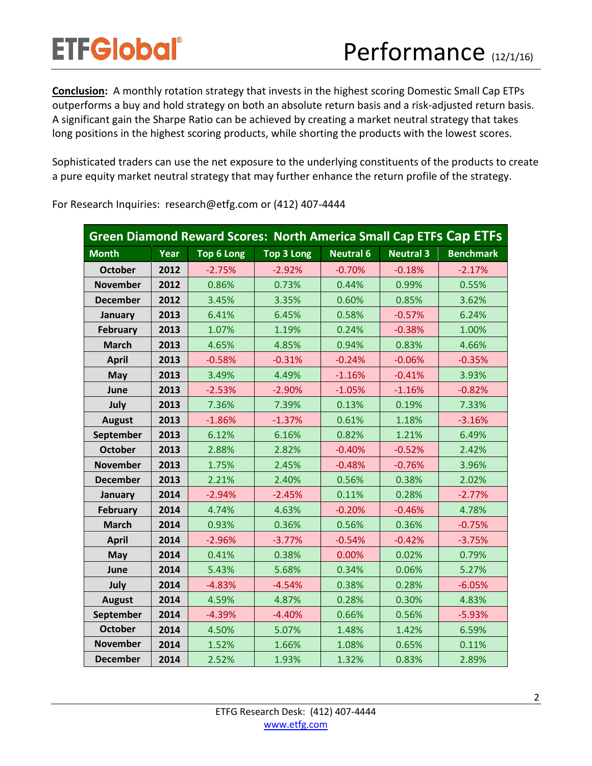**Conclusion:** A monthly rotation strategy that invests in the highest scoring Domestic Small Cap ETPs outperforms a buy and hold strategy on both an absolute return basis and a risk-adjusted return basis. A significant gain the Sharpe Ratio can be achieved by creating a market neutral strategy that takes long positions in the highest scoring products, while shorting the products with the lowest scores.

Sophisticated traders can use the net exposure to the underlying constituents of the products to create a pure equity market neutral strategy that may further enhance the return profile of the strategy.

| <b>Green Diamond Reward Scores: North America Small Cap ETFs Cap ETFs</b> |      |            |                   |                  |                  |                  |
|---------------------------------------------------------------------------|------|------------|-------------------|------------------|------------------|------------------|
| <b>Month</b>                                                              | Year | Top 6 Long | <b>Top 3 Long</b> | <b>Neutral 6</b> | <b>Neutral 3</b> | <b>Benchmark</b> |
| <b>October</b>                                                            | 2012 | $-2.75%$   | $-2.92%$          | $-0.70%$         | $-0.18%$         | $-2.17%$         |
| <b>November</b>                                                           | 2012 | 0.86%      | 0.73%             | 0.44%            | 0.99%            | 0.55%            |
| <b>December</b>                                                           | 2012 | 3.45%      | 3.35%             | 0.60%            | 0.85%            | 3.62%            |
| January                                                                   | 2013 | 6.41%      | 6.45%             | 0.58%            | $-0.57%$         | 6.24%            |
| February                                                                  | 2013 | 1.07%      | 1.19%             | 0.24%            | $-0.38%$         | 1.00%            |
| <b>March</b>                                                              | 2013 | 4.65%      | 4.85%             | 0.94%            | 0.83%            | 4.66%            |
| <b>April</b>                                                              | 2013 | $-0.58%$   | $-0.31%$          | $-0.24%$         | $-0.06%$         | $-0.35%$         |
| May                                                                       | 2013 | 3.49%      | 4.49%             | $-1.16%$         | $-0.41%$         | 3.93%            |
| June                                                                      | 2013 | $-2.53%$   | $-2.90%$          | $-1.05%$         | $-1.16%$         | $-0.82%$         |
| July                                                                      | 2013 | 7.36%      | 7.39%             | 0.13%            | 0.19%            | 7.33%            |
| <b>August</b>                                                             | 2013 | $-1.86%$   | $-1.37%$          | 0.61%            | 1.18%            | $-3.16%$         |
| September                                                                 | 2013 | 6.12%      | 6.16%             | 0.82%            | 1.21%            | 6.49%            |
| <b>October</b>                                                            | 2013 | 2.88%      | 2.82%             | $-0.40%$         | $-0.52%$         | 2.42%            |
| <b>November</b>                                                           | 2013 | 1.75%      | 2.45%             | $-0.48%$         | $-0.76%$         | 3.96%            |
| <b>December</b>                                                           | 2013 | 2.21%      | 2.40%             | 0.56%            | 0.38%            | 2.02%            |
| January                                                                   | 2014 | $-2.94%$   | $-2.45%$          | 0.11%            | 0.28%            | $-2.77%$         |
| <b>February</b>                                                           | 2014 | 4.74%      | 4.63%             | $-0.20%$         | $-0.46%$         | 4.78%            |
| <b>March</b>                                                              | 2014 | 0.93%      | 0.36%             | 0.56%            | 0.36%            | $-0.75%$         |
| <b>April</b>                                                              | 2014 | $-2.96%$   | $-3.77%$          | $-0.54%$         | $-0.42%$         | $-3.75%$         |
| May                                                                       | 2014 | 0.41%      | 0.38%             | 0.00%            | 0.02%            | 0.79%            |
| June                                                                      | 2014 | 5.43%      | 5.68%             | 0.34%            | 0.06%            | 5.27%            |
| July                                                                      | 2014 | $-4.83%$   | $-4.54%$          | 0.38%            | 0.28%            | $-6.05%$         |
| <b>August</b>                                                             | 2014 | 4.59%      | 4.87%             | 0.28%            | 0.30%            | 4.83%            |
| September                                                                 | 2014 | $-4.39%$   | $-4.40%$          | 0.66%            | 0.56%            | $-5.93%$         |
| <b>October</b>                                                            | 2014 | 4.50%      | 5.07%             | 1.48%            | 1.42%            | 6.59%            |
| <b>November</b>                                                           | 2014 | 1.52%      | 1.66%             | 1.08%            | 0.65%            | 0.11%            |
| <b>December</b>                                                           | 2014 | 2.52%      | 1.93%             | 1.32%            | 0.83%            | 2.89%            |

For Research Inquiries: research@etfg.com or (412) 407-4444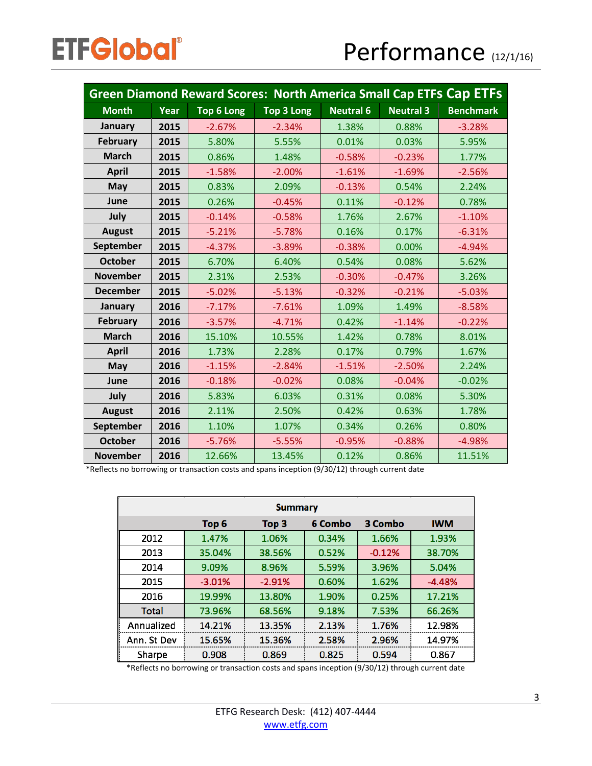| <b>Green Diamond Reward Scores: North America Small Cap ETFs Cap ETFs</b> |      |                   |            |                  |                  |                  |
|---------------------------------------------------------------------------|------|-------------------|------------|------------------|------------------|------------------|
| <b>Month</b>                                                              | Year | <b>Top 6 Long</b> | Top 3 Long | <b>Neutral 6</b> | <b>Neutral 3</b> | <b>Benchmark</b> |
| <b>January</b>                                                            | 2015 | $-2.67%$          | $-2.34%$   | 1.38%            | 0.88%            | $-3.28%$         |
| February                                                                  | 2015 | 5.80%             | 5.55%      | 0.01%            | 0.03%            | 5.95%            |
| <b>March</b>                                                              | 2015 | 0.86%             | 1.48%      | $-0.58%$         | $-0.23%$         | 1.77%            |
| <b>April</b>                                                              | 2015 | $-1.58%$          | $-2.00%$   | $-1.61%$         | $-1.69%$         | $-2.56%$         |
| May                                                                       | 2015 | 0.83%             | 2.09%      | $-0.13%$         | 0.54%            | 2.24%            |
| June                                                                      | 2015 | 0.26%             | $-0.45%$   | 0.11%            | $-0.12%$         | 0.78%            |
| July                                                                      | 2015 | $-0.14%$          | $-0.58%$   | 1.76%            | 2.67%            | $-1.10%$         |
| <b>August</b>                                                             | 2015 | $-5.21%$          | $-5.78%$   | 0.16%            | 0.17%            | $-6.31%$         |
| September                                                                 | 2015 | $-4.37%$          | $-3.89%$   | $-0.38%$         | 0.00%            | $-4.94%$         |
| <b>October</b>                                                            | 2015 | 6.70%             | 6.40%      | 0.54%            | 0.08%            | 5.62%            |
| <b>November</b>                                                           | 2015 | 2.31%             | 2.53%      | $-0.30%$         | $-0.47%$         | 3.26%            |
| <b>December</b>                                                           | 2015 | $-5.02%$          | $-5.13%$   | $-0.32%$         | $-0.21%$         | $-5.03%$         |
| <b>January</b>                                                            | 2016 | $-7.17%$          | $-7.61%$   | 1.09%            | 1.49%            | $-8.58%$         |
| <b>February</b>                                                           | 2016 | $-3.57%$          | $-4.71%$   | 0.42%            | $-1.14%$         | $-0.22%$         |
| <b>March</b>                                                              | 2016 | 15.10%            | 10.55%     | 1.42%            | 0.78%            | 8.01%            |
| <b>April</b>                                                              | 2016 | 1.73%             | 2.28%      | 0.17%            | 0.79%            | 1.67%            |
| May                                                                       | 2016 | $-1.15%$          | $-2.84%$   | $-1.51%$         | $-2.50%$         | 2.24%            |
| June                                                                      | 2016 | $-0.18%$          | $-0.02%$   | 0.08%            | $-0.04%$         | $-0.02%$         |
| July                                                                      | 2016 | 5.83%             | 6.03%      | 0.31%            | 0.08%            | 5.30%            |
| <b>August</b>                                                             | 2016 | 2.11%             | 2.50%      | 0.42%            | 0.63%            | 1.78%            |
| September                                                                 | 2016 | 1.10%             | 1.07%      | 0.34%            | 0.26%            | 0.80%            |
| <b>October</b>                                                            | 2016 | $-5.76%$          | $-5.55%$   | $-0.95%$         | $-0.88%$         | $-4.98%$         |
| <b>November</b>                                                           | 2016 | 12.66%            | 13.45%     | 0.12%            | 0.86%            | 11.51%           |

\*Reflects no borrowing or transaction costs and spans inception (9/30/12) through current date

| <b>Summary</b> |                  |                  |         |          |            |  |  |
|----------------|------------------|------------------|---------|----------|------------|--|--|
|                | Top <sub>6</sub> | Top <sub>3</sub> | 6 Combo | 3 Combo  | <b>IWM</b> |  |  |
| 2012           | 1.47%            | 1.06%            | 0.34%   | 1.66%    | 1.93%      |  |  |
| 2013           | 35.04%           | 38.56%           | 0.52%   | $-0.12%$ | 38.70%     |  |  |
| 2014           | 9.09%            | 8.96%            | 5.59%   | 3.96%    | 5.04%      |  |  |
| 2015           | $-3.01%$         | $-2.91%$         | 0.60%   | 1.62%    | $-4.48%$   |  |  |
| 2016           | 19.99%           | 13.80%           | 1.90%   | 0.25%    | 17.21%     |  |  |
| <b>Total</b>   | 73.96%           | 68.56%           | 9.18%   | 7.53%    | 66.26%     |  |  |
| Annualized     | 14.21%           | 13.35%           | 2.13%   | 1.76%    | 12.98%     |  |  |
| Ann. St Dev    | 15.65%           | 15.36%           | 2.58%   | 2.96%    | 14.97%     |  |  |
| Sharpe         | 0.908            | 0.869            | 0.825   | 0.594    | 0.867      |  |  |

\*Reflects no borrowing or transaction costs and spans inception (9/30/12) through current date